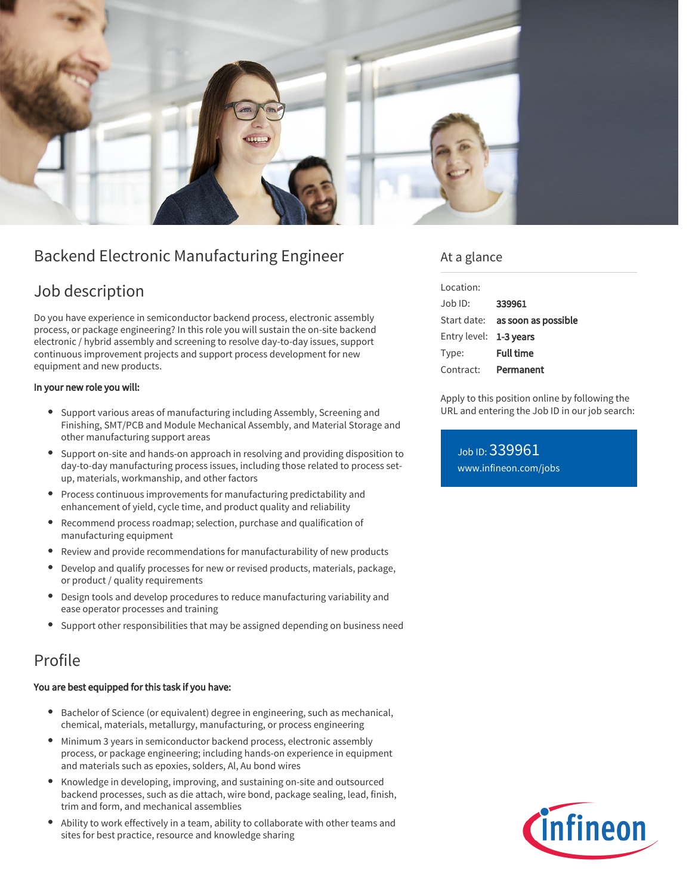

# Backend Electronic Manufacturing Engineer

## Job description

Do you have experience in semiconductor backend process, electronic assembly process, or package engineering? In this role you will sustain the on-site backend electronic / hybrid assembly and screening to resolve day-to-day issues, support continuous improvement projects and support process development for new equipment and new products.

#### In your new role you will:

- Support various areas of manufacturing including Assembly, Screening and Finishing, SMT/PCB and Module Mechanical Assembly, and Material Storage and other manufacturing support areas
- Support on-site and hands-on approach in resolving and providing disposition to day-to-day manufacturing process issues, including those related to process setup, materials, workmanship, and other factors
- Process continuous improvements for manufacturing predictability and enhancement of yield, cycle time, and product quality and reliability
- Recommend process roadmap; selection, purchase and qualification of manufacturing equipment
- Review and provide recommendations for manufacturability of new products
- Develop and qualify processes for new or revised products, materials, package, or product / quality requirements
- Design tools and develop procedures to reduce manufacturing variability and ease operator processes and training
- Support other responsibilities that may be assigned depending on business need

### Profile

#### You are best equipped for this task if you have:

- Bachelor of Science (or equivalent) degree in engineering, such as mechanical, chemical, materials, metallurgy, manufacturing, or process engineering
- $\bullet$ Minimum 3 years in semiconductor backend process, electronic assembly process, or package engineering; including hands-on experience in equipment and materials such as epoxies, solders, Al, Au bond wires
- Knowledge in developing, improving, and sustaining on-site and outsourced backend processes, such as die attach, wire bond, package sealing, lead, finish, trim and form, and mechanical assemblies
- Ability to work effectively in a team, ability to collaborate with other teams and sites for best practice, resource and knowledge sharing

### At a glance

| Location:              |                                 |
|------------------------|---------------------------------|
| $Joh$ ID:              | 339961                          |
|                        | Start date: as soon as possible |
| Entry level: 1-3 years |                                 |
| Type:                  | <b>Full time</b>                |
| Contract:              | Permanent                       |

Apply to this position online by following the URL and entering the Job ID in our job search:

Job ID: 339961 [www.infineon.com/jobs](https://www.infineon.com/jobs)

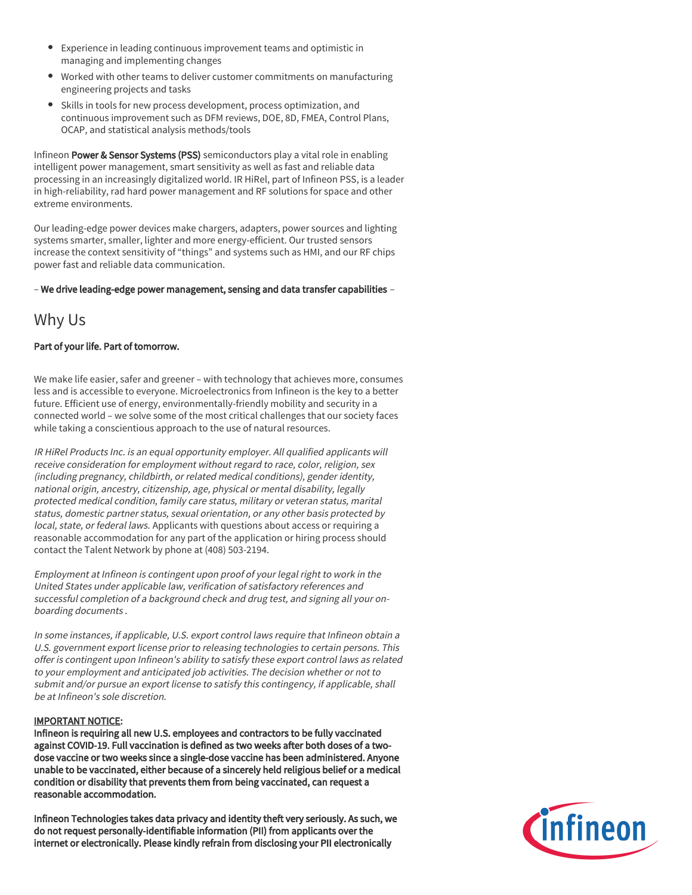- Experience in leading continuous improvement teams and optimistic in managing and implementing changes
- Worked with other teams to deliver customer commitments on manufacturing engineering projects and tasks
- Skills in tools for new process development, process optimization, and continuous improvement such as DFM reviews, DOE, 8D, FMEA, Control Plans, OCAP, and statistical analysis methods/tools

Infineon Power & Sensor Systems (PSS) semiconductors play a vital role in enabling intelligent power management, smart sensitivity as well as fast and reliable data processing in an increasingly digitalized world. IR HiRel, part of Infineon PSS, is a leader in high-reliability, rad hard power management and RF solutions for space and other extreme environments.

Our leading-edge power devices make chargers, adapters, power sources and lighting systems smarter, smaller, lighter and more energy-efficient. Our trusted sensors increase the context sensitivity of "things" and systems such as HMI, and our RF chips power fast and reliable data communication.

– We drive leading-edge power management, sensing and data transfer capabilities –

### Why Us

#### Part of your life. Part of tomorrow.

We make life easier, safer and greener – with technology that achieves more, consumes less and is accessible to everyone. Microelectronics from Infineon is the key to a better future. Efficient use of energy, environmentally-friendly mobility and security in a connected world – we solve some of the most critical challenges that our society faces while taking a conscientious approach to the use of natural resources.

IR HiRel Products Inc. is an equal opportunity employer. All qualified applicants will receive consideration for employment without regard to race, color, religion, sex (including pregnancy, childbirth, or related medical conditions), gender identity, national origin, ancestry, citizenship, age, physical or mental disability, legally protected medical condition, family care status, military or veteran status, marital status, domestic partner status, sexual orientation, or any other basis protected by local, state, or federal laws. Applicants with questions about access or requiring a reasonable accommodation for any part of the application or hiring process should contact the Talent Network by phone at (408) 503-2194.

Employment at Infineon is contingent upon proof of your legal right to work in the United States under applicable law, verification of satisfactory references and successful completion of a background check and drug test, and signing all your onboarding documents .

In some instances, if applicable, U.S. export control laws require that Infineon obtain a U.S. government export license prior to releasing technologies to certain persons. This offer is contingent upon Infineon's ability to satisfy these export control laws as related to your employment and anticipated job activities. The decision whether or not to submit and/or pursue an export license to satisfy this contingency, if applicable, shall be at Infineon's sole discretion.

#### IMPORTANT NOTICE:

Infineon is requiring all new U.S. employees and contractors to be fully vaccinated against COVID-19. Full vaccination is defined as two weeks after both doses of a twodose vaccine or two weeks since a single-dose vaccine has been administered. Anyone unable to be vaccinated, either because of a sincerely held religious belief or a medical condition or disability that prevents them from being vaccinated, can request a reasonable accommodation.

Infineon Technologies takes data privacy and identity theft very seriously. As such, we do not request personally-identifiable information (PII) from applicants over the internet or electronically. Please kindly refrain from disclosing your PII electronically